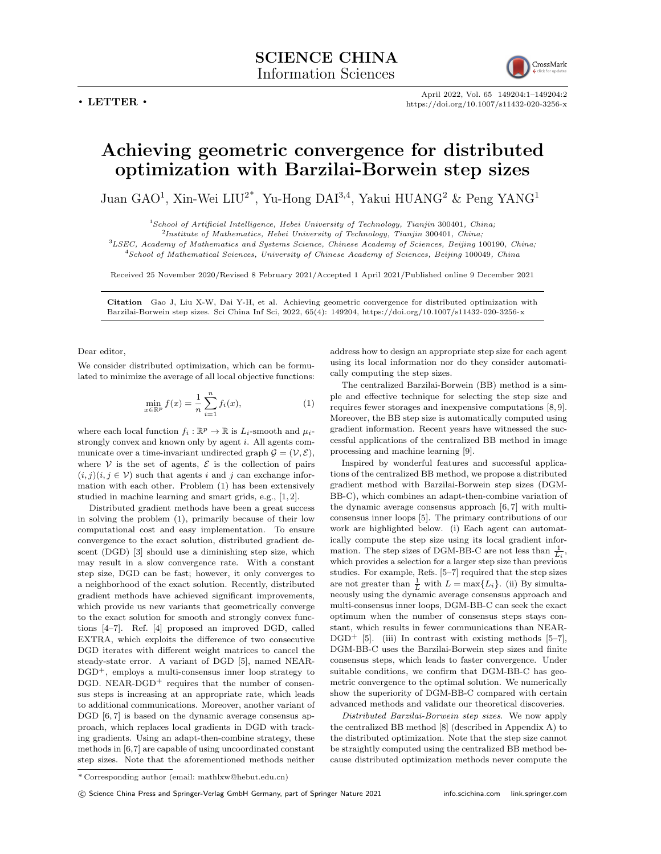

April 2022, Vol. 65 149204:1–149204:2 https://doi.org/10.1007/s11432-020-3256-x

## **Achieving geometric convergence for distributed optimization with Barzilai-Borwein step sizes**

Juan GAO<sup>1</sup>, Xin-Wei LIU<sup>2\*</sup>, Yu-Hong DAI<sup>3,4</sup>, Yakui HUANG<sup>2</sup> & Peng YANG<sup>1</sup>

<sup>1</sup>*School of Artificial Intelligence, Hebei University of Technology, Tianjin* 300401*, China;*

2 *Institute of Mathematics, Hebei University of Technology, Tianjin* 300401*, China;*

<sup>3</sup>*LSEC, Academy of Mathematics and Systems Science, Chinese Academy of Sciences, Beijing* 100190*, China;*

<sup>4</sup>*School of Mathematical Sciences, University of Chinese Academy of Sciences, Beijing* 100049*, China*

Received 25 November 2020/Revised 8 February 2021/Accepted 1 April 2021/Published online 9 December 2021

**Citation** Gao J, Liu X-W, Dai Y-H, et al. Achieving geometric convergence for distributed optimization with Barzilai-Borwein step sizes. Sci China Inf Sci, 2022, 65(4): 149204, https://doi.org/10.1007/s11432-020-3256-x

Dear editor,

We consider distributed optimization, which can be formulated to minimize the average of all local objective functions:

$$
\min_{x \in \mathbb{R}^p} f(x) = \frac{1}{n} \sum_{i=1}^n f_i(x),\tag{1}
$$

where each local function  $f_i : \mathbb{R}^p \to \mathbb{R}$  is  $L_i$ -smooth and  $\mu_i$ strongly convex and known only by agent *i*. All agents communicate over a time-invariant undirected graph  $G = (\mathcal{V}, \mathcal{E})$ , where  $V$  is the set of agents,  $E$  is the collection of pairs  $(i, j)(i, j \in V)$  such that agents *i* and *j* can exchange information with each other. Problem (1) has been extensively studied in machine learning and smart grids, e.g., [1, 2].

Distributed gradient methods have been a great success in solving the problem (1), primarily because of their low computational cost and easy implementation. To ensure convergence to the exact solution, distributed gradient descent (DGD) [3] should use a diminishing step size, which may result in a slow convergence rate. With a constant step size, DGD can be fast; however, it only converges to a neighborhood of the exact solution. Recently, distributed gradient methods have achieved significant improvements, which provide us new variants that geometrically converge to the exact solution for smooth and strongly convex functions [4–7]. Ref. [4] proposed an improved DGD, called EXTRA, which exploits the difference of two consecutive DGD iterates with different weight matrices to cancel the steady-state error. A variant of DGD [5], named NEAR- $DGD^+$ , employs a multi-consensus inner loop strategy to  $DGD$ . NEAR- $DGD^+$  requires that the number of consensus steps is increasing at an appropriate rate, which leads to additional communications. Moreover, another variant of DGD  $[6, 7]$  is based on the dynamic average consensus approach, which replaces local gradients in DGD with tracking gradients. Using an adapt-then-combine strategy, these methods in [6,7] are capable of using uncoordinated constant step sizes. Note that the aforementioned methods neither

address how to design an appropriate step size for each agent using its local information nor do they consider automatically computing the step sizes.

The centralized Barzilai-Borwein (BB) method is a simple and effective technique for selecting the step size and requires fewer storages and inexpensive computations [8, 9]. Moreover, the BB step size is automatically computed using gradient information. Recent years have witnessed the successful applications of the centralized BB method in image processing and machine learning [9].

Inspired by wonderful features and successful applications of the centralized BB method, we propose a distributed gradient method with Barzilai-Borwein step sizes (DGM-BB-C), which combines an adapt-then-combine variation of the dynamic average consensus approach [6, 7] with multiconsensus inner loops [5]. The primary contributions of our work are highlighted below. (i) Each agent can automatically compute the step size using its local gradient information. The step sizes of DGM-BB-C are not less than  $\frac{1}{L_i}$ , which provides a selection for a larger step size than previous studies. For example, Refs. [5–7] required that the step sizes are not greater than  $\frac{1}{L}$  with  $L = \max\{L_i\}$ . (ii) By simultaneously using the dynamic average consensus approach and multi-consensus inner loops, DGM-BB-C can seek the exact optimum when the number of consensus steps stays constant, which results in fewer communications than NEAR- $DGD^+$  [5]. (iii) In contrast with existing methods [5–7], DGM-BB-C uses the Barzilai-Borwein step sizes and finite consensus steps, which leads to faster convergence. Under suitable conditions, we confirm that DGM-BB-C has geometric convergence to the optimal solution. We numerically show the superiority of DGM-BB-C compared with certain advanced methods and validate our theoretical discoveries.

*Distributed Barzilai-Borwein step sizes*. We now apply the centralized BB method [8] (described in Appendix A) to the distributed optimization. Note that the step size cannot be straightly computed using the centralized BB method because distributed optimization methods never compute the

<sup>\*</sup> Corresponding author (email: mathlxw@hebut.edu.cn)

*<sup>⃝</sup>*c Science China Press and Springer-Verlag GmbH Germany, part of Springer Nature 2021 info.scichina.com link.springer.com